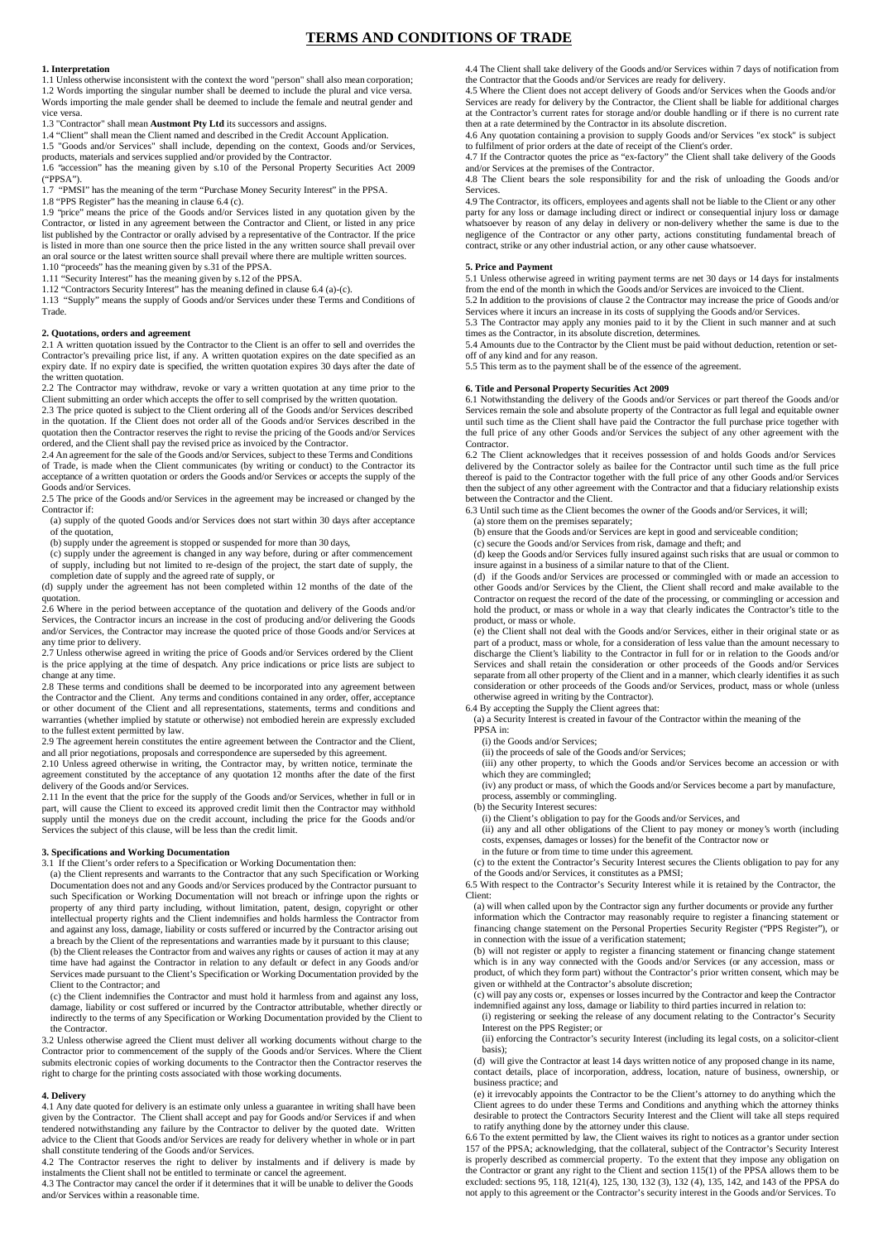# **TERMS AND CONDITIONS OF TRADE**

### **1. Interpretation**

1.1 Unless otherwise inconsistent with the context the word "person" shall also mean corporation; 1.2 Words importing the singular number shall be deemed to include the plural and vice versa. Words importing the male gender shall be deemed to include the female and neutral gender and vice versa.

1.3 "Contractor" shall mean **Austmont Pty Ltd** its successors and assigns.

1.4 "Client" shall mean the Client named and described in the Credit Account Application. 1.5 "Goods and/or Services" shall include, depending on the context, Goods and/or Services,

products, materials and services supplied and/or provided by the Contractor.

1.6 "accession" has the meaning given by s.10 of the Personal Property Securities Act 2009 ("PPSA").

1.7 "PMSI" has the meaning of the term "Purchase Money Security Interest" in the PPSA.

1.8 "PPS Register" has the meaning in clause 6.4 (c).

1.9 "price" means the price of the Goods and/or Services listed in any quotation given by the Contractor, or listed in any agreement between the Contractor and Client, or listed in any price list published by the Contractor or orally advised by a representative of the Contractor. If the price is listed in more than one source then the price listed in the any written source shall prevail over an oral source or the latest written source shall prevail where there are multiple written sources. 1.10 "proceeds" has the meaning given by s.31 of the PPSA.

1.11 "Security Interest" has the meaning given by s.12 of the PPSA. 1.12 "Contractors Security Interest" has the meaning defined in clause 6.4 (a)-(c).

1.13 "Supply" means the supply of Goods and/or Services under these Terms and Conditions of Trade.

# **2. Quotations, orders and agreement**

2.1 A written quotation issued by the Contractor to the Client is an offer to sell and overrides the Contractor's prevailing price list, if any. A written quotation expires on the date specified as an expiry date. If no expiry date is specified, the written quotation expires 30 days after the date of the written quotation.

2.2 The Contractor may withdraw, revoke or vary a written quotation at any time prior to the Client submitting an order which accepts the offer to sell comprised by the written quotation. 2.3 The price quoted is subject to the Client ordering all of the Goods and/or Services described

in the quotation. If the Client does not order all of the Goods and/or Services described in the quotation then the Contractor reserves the right to revise the pricing of the Goods and/or Services ordered, and the Client shall pay the revised price as invoiced by the Contractor.

2.4 An agreement for the sale of the Goods and/or Services, subject to these Terms and Conditions of Trade, is made when the Client communicates (by writing or conduct) to the Contractor its acceptance of a written quotation or orders the Goods and/or Services or accepts the supply of the Goods and/or Services.

2.5 The price of the Goods and/or Services in the agreement may be increased or changed by the Contractor if:

(a) supply of the quoted Goods and/or Services does not start within 30 days after acceptance

of the quotation, (b) supply under the agreement is stopped or suspended for more than 30 days,

(c) supply under the agreement is changed in any way before, during or after commencement of supply, including but not limited to re-design of the project, the start date of supply, the completion date of supply and the agreed rate of supply, or

(d) supply under the agreement has not been completed within 12 months of the date of the

quotation. 2.6 Where in the period between acceptance of the quotation and delivery of the Goods and/or Services, the Contractor incurs an increase in the cost of producing and/or delivering the Goods and/or Services, the Contractor may increase the quoted price of those Goods and/or Services at any time prior to delivery.

2.7 Unless otherwise agreed in writing the price of Goods and/or Services ordered by the Client is the price applying at the time of despatch. Any price indications or price lists are subject to change at any time.

2.8 These terms and conditions shall be deemed to be incorporated into any agreement between the Contractor and the Client. Any terms and conditions contained in any order, offer, acceptance or other document of the Client and all representations, statements, terms and conditions and warranties (whether implied by statute or otherwise) not embodied herein are expressly excluded to the fullest extent permitted by law.

2.9 The agreement herein constitutes the entire agreement between the Contractor and the Client, and all prior negotiations, proposals and correspondence are superseded by this agreement.

2.10 Unless agreed otherwise in writing, the Contractor may, by written notice, terminate the agreement constituted by the acceptance of any quotation 12 months after the date of the first delivery of the Goods and/or Services.

2.11 In the event that the price for the supply of the Goods and/or Services, whether in full or in part, will cause the Client to exceed its approved credit limit then the Contractor may withhold supply until the moneys due on the credit account, including the price for the Goods and/or Services the subject of this clause, will be less than the credit limit.

## **3. Specifications and Working Documentation**

3.1 If the Client's order refers to a Specification or Working Documentation then:

(a) the Client represents and warrants to the Contractor that any such Specification or Working Documentation does not and any Goods and/or Services produced by the Contractor pursuant to such Specification or Working Documentation will not breach or infringe upon the rights or property of any third party including, without limitation, patent, design, copyright or other intellectual property rights and the Client indemnifies and holds harmless the Contractor from and against any loss, damage, liability or costs suffered or incurred by the Contractor arising out a breach by the Client of the representations and warranties made by it pursuant to this clause; (b) the Client releases the Contractor from and waives any rights or causes of action it may at any

time have had against the Contractor in relation to any default or defect in any Goods and/or Services made pursuant to the Client's Specification or Working Documentation provided by the Client to the Contractor; and (c) the Client indemnifies the Contractor and must hold it harmless from and against any loss,

damage, liability or cost suffered or incurred by the Contractor attributable, whether directly or indirectly to the terms of any Specification or Working Documentation provided by the Client to the Contractor.

3.2 Unless otherwise agreed the Client must deliver all working documents without charge to the Contractor prior to commencement of the supply of the Goods and/or Services. Where the Client submits electronic copies of working documents to the Contractor then the Contractor reserves the right to charge for the printing costs associated with those working documents.

# **4. Delivery**

4.1 Any date quoted for delivery is an estimate only unless a guarantee in writing shall have been given by the Contractor. The Client shall accept and pay for Goods and/or Services if and when<br>tendered notwithstanding any failure by the Contractor to deliver by the quoted date. Written<br>advice to the Client that Goods a shall constitute tendering of the Goods and/or Services.

4.2 The Contractor reserves the right to deliver by instalments and if delivery is made by instalments the Client shall not be entitled to terminate or cancel the agreement.

4.3 The Contractor may cancel the order if it determines that it will be unable to deliver the Goods and/or Services within a reasonable time.

4.4 The Client shall take delivery of the Goods and/or Services within 7 days of notification from the Contractor that the Goods and/or Services are ready for delivery.

4.5 Where the Client does not accept delivery of Goods and/or Services when the Goods and/or Services are ready for delivery by the Contractor, the Client shall be liable for additional charges at the Contractor's current rates for storage and/or double handling or if there is no current rate then at a rate determined by the Contractor in its absolute discretion.

4.6 Any quotation containing a provision to supply Goods and/or Services "ex stock" is subject to fulfilment of prior orders at the date of receipt of the Client's order.

4.7 If the Contractor quotes the price as "ex-factory" the Client shall take delivery of the Goods and/or Services at the premises of the Contractor.

4.8 The Client bears the sole responsibility for and the risk of unloading the Goods and/or **Services** 

4.9 The Contractor, its officers, employees and agents shall not be liable to the Client or any other party for any loss or damage including direct or indirect or consequential injury loss or damage whatsoever by reason of any delay in delivery or non-delivery whether the same is due to the negligence of the Contractor or any other party, actions constituting fundamental breach of contract, strike or any other industrial action, or any other cause whatsoever.

# **5. Price and Payment**

5.1 Unless otherwise agreed in writing payment terms are net 30 days or 14 days for instalments from the end of the month in which the Goods and/or Services are invoiced to the Client.

5.2 In addition to the provisions of clause 2 the Contractor may increase the price of Goods and/or Services where it incurs an increase in its costs of supplying the Goods and/or Services. 5.3 The Contractor may apply any monies paid to it by the Client in such manner and at such

times as the Contractor, in its absolute discretion, determines

5.4 Amounts due to the Contractor by the Client must be paid without deduction, retention or setoff of any kind and for any reason.

5.5 This term as to the payment shall be of the essence of the agreement.

# **6. Title and Personal Property Securities Act 2009**

6.1 Notwithstanding the delivery of the Goods and/or Services or part thereof the Goods and/or Services remain the sole and absolute property of the Contractor as full legal and equitable owner until such time as the Client shall have paid the Contractor the full purchase price together with the full price of any other Goods and/or Services the subject of any other agreement with the Contractor.

6.2 The Client acknowledges that it receives possession of and holds Goods and/or Services delivered by the Contractor solely as bailee for the Contractor until such time as the full price thereof is paid to the Contractor together with the full price of any other Goods and/or Services then the subject of any other agreement with the Contractor and that a fiduciary relationship exists between the Contractor and the Client.

6.3 Until such time as the Client becomes the owner of the Goods and/or Services, it will;

(a) store them on the premises separately;

(b) ensure that the Goods and/or Services are kept in good and serviceable condition; (c) secure the Goods and/or Services from risk, damage and theft; and

(d) keep the Goods and/or Services fully insured against such risks that are usual or common to

insure against in a business of a similar nature to that of the Client. (d) if the Goods and/or Services are processed or commingled with or made an accession to

other Goods and/or Services by the Client, the Client shall record and make available to the Contractor on request the record of the date of the processing, or commingling or accession and hold the product, or mass or whole in a way that clearly indicates the Contractor's title to the product, or mass or whole.

(e) the Client shall not deal with the Goods and/or Services, either in their original state or as<br>part of a product, mass or whole, for a consideration of less value than the amount necessary to<br>discharge the Client's lia Services and shall retain the consideration or other proceeds of the Goods and/or Services separate from all other property of the Client and in a manner, which clearly identifies it as such consideration or other proceeds of the Goods and/or Services, product, mass or whole (unless otherwise agreed in writing by the Contractor).

6.4 By accepting the Supply the Client agrees that:

(a) a Security Interest is created in favour of the Contractor within the meaning of the PPSA in:

(i) the Goods and/or Services;

(ii) the proceeds of sale of the Goods and/or Services;

(iii) any other property, to which the Goods and/or Services become an accession or with which they are commingled;

(iv) any product or mass, of which the Goods and/or Services become a part by manufacture, process, assembly or commingling.

(b) the Security Interest secures:

(i) the Client's obligation to pay for the Goods and/or Services, and<br>(ii) any and all other obligations of the Client to pay money or money's worth (including<br>costs, expenses, damages or losses) for the benefit of the Con

in the future or from time to time under this agreement.

(c) to the extent the Contractor's Security Interest secures the Clients obligation to pay for any of the Goods and/or Services, it constitutes as a PMSI;

6.5 With respect to the Contractor's Security Interest while it is retained by the Contractor, the Client:

(a) will when called upon by the Contractor sign any further documents or provide any further information which the Contractor may reasonably require to register a financing statement or financing change statement on the Personal Properties Security Register ("PPS Register"), or in connection with the issue of a verification statement;

(b) will not register or apply to register a financing statement or financing change statement which is in any way connected with the Goods and/or Services (or any accession, mass or product, of which they form part) without the Contractor's prior written consent, which may be given or withheld at the Contractor's absolute discretion;

(c) will pay any costs or, expenses or losses incurred by the Contractor and keep the Contractor indemnified against any loss, damage or liability to third parties incurred in relation to:

(i) registering or seeking the release of any document relating to the Contractor's Security Interest on the PPS Register; or

(ii) enforcing the Contractor's security Interest (including its legal costs, on a solicitor-client basis);

(d) will give the Contractor at least 14 days written notice of any proposed change in its name, contact details, place of incorporation, address, location, nature of business, ownership, or business practice; and

(e) it irrevocably appoints the Contractor to be the Client's attorney to do anything which the Client agrees to do under these Terms and Conditions and anything which the attorney thinks desirable to protect the Contractors Security Interest and the Client will take all steps required to ratify anything done by the attorney under this clause.

6.6 To the extent permitted by law, the Client waives its right to notices as a grantor under section 157 of the PPSA; acknowledging, that the collateral, subject of the Contractor's Security Interest<br>is properly described as commercial property. To the extent that they impose any obligation on<br>the Contractor or grant any excluded: sections 95, 118, 121(4), 125, 130, 132 (3), 132 (4), 135, 142, and 143 of the PPSA do not apply to this agreement or the Contractor's security interest in the Goods and/or Services. To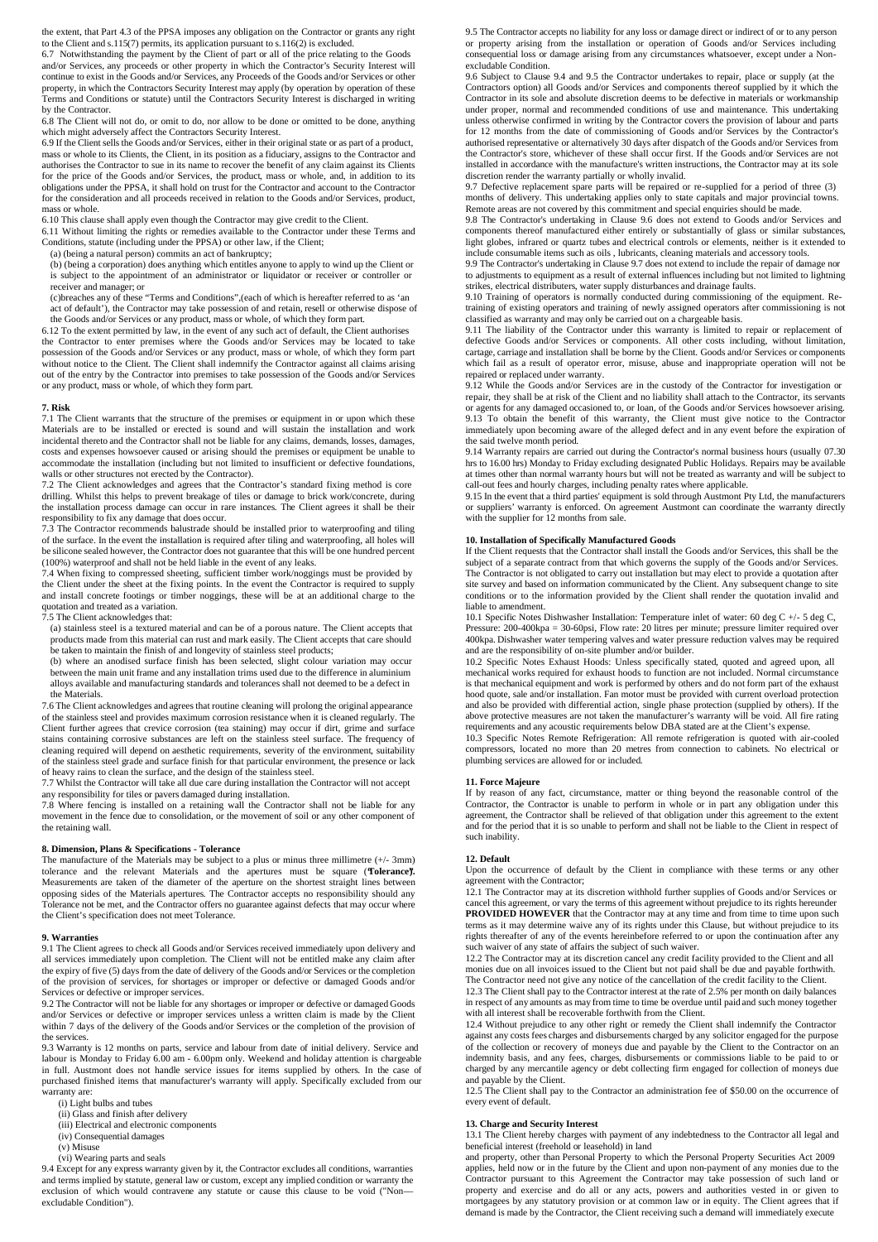the extent, that Part 4.3 of the PPSA imposes any obligation on the Contractor or grants any right to the Client and s.115(7) permits, its application pursuant to s.116(2) is excluded. 6.7 Notwithstanding the payment by the Client of part or all of the price relating to the Goods

and/or Services, any proceeds or other property in which the Contractor's Security Interest will continue to exist in the Goods and/or Services, any Proceeds of the Goods and/or Services or other property, in which the Contractors Security Interest may apply (by operation by operation of these Terms and Conditions or statute) until the Contractors Security Interest is discharged in writing by the Contractor.

6.8 The Client will not do, or omit to do, nor allow to be done or omitted to be done, anything which might adversely affect the Contractors Security Interest.

6.9 If the Client sells the Goods and/or Services, either in their original state or as part of a product, mass or whole to its Clients, the Client, in its position as a fiduciary, assigns to the Contractor and authorises the Contractor to sue in its name to recover the benefit of any claim against its Clients for the price of the Goods and/or Services, the product, mass or whole, and, in addition to its obligations under the PPSA, it shall hold on trust for the Contractor and account to the Contractor for the consideration and all proceeds received in relation to the Goods and/or Services, product, mass or whole.

6.10 This clause shall apply even though the Contractor may give credit to the Client.

6.11 Without limiting the rights or remedies available to the Contractor under these Terms and Conditions, statute (including under the PPSA) or other law, if the Client;

(a) (being a natural person) commits an act of bankruptcy;

(b) (being a corporation) does anything which entitles anyone to apply to wind up the Client or is subject to the appointment of an administrator or liquidator or receiver or controller or receiver and manager; or

(c)breaches any of these "Terms and Conditions",(each of which is hereafter referred to as 'an act of default'), the Contractor may take possession of and retain, resell or otherwise dispose of the Goods and/or Services or any product, mass or whole, of which they form part.

6.12 To the extent permitted by law, in the event of any such act of default, the Client authorises the Contractor to enter premises where the Goods and/or Services may be located to take possession of the Goods and/or Services or any product, mass or whole, of which they form part without notice to the Client. The Client shall indemnify the Contractor against all claims arising out of the entry by the Contractor into premises to take possession of the Goods and/or Services or any product, mass or whole, of which they form part.

### **7. Risk**

7.1 The Client warrants that the structure of the premises or equipment in or upon which these Materials are to be installed or erected is sound and will sustain the installation and work incidental thereto and the Contractor shall not be liable for any claims, demands, losses, damages, costs and expenses howsoever caused or arising should the premises or equipment be unable to accommodate the installation (including but not limited to insufficient or defective foundations, walls or other structures not erected by the Contractor).

7.2 The Client acknowledges and agrees that the Contractor's standard fixing method is core drilling. Whilst this helps to prevent breakage of tiles or damage to brick work/concrete, during the installation process damage can occur in rare instances. The Client agrees it shall be their responsibility to fix any damage that does occur.

7.3 The Contractor recommends balustrade should be installed prior to waterproofing and tiling of the surface. In the event the installation is required after tiling and waterproofing, all holes will be silicone sealed however, the Contractor does not guarantee that this will be one hundred percent (100%) waterproof and shall not be held liable in the event of any leaks.

7.4 When fixing to compressed sheeting, sufficient timber work/noggings must be provided by the Client under the sheet at the fixing points. In the event the Contractor is required to supply and install concrete footings or timber noggings, these will be at an additional charge to the

quotation and treated as a variation. 7.5 The Client acknowledges that:

(a) stainless steel is a textured material and can be of a porous nature. The Client accepts that products made from this material can rust and mark easily. The Client accepts that care should be taken to maintain the finish of and longevity of stainless steel products;

(b) where an anodised surface finish has been selected, slight colour variation may occur between the main unit frame and any installation trims used due to the difference in aluminium alloys available and manufacturing standards and tolerances shall not deemed to be a defect in the Materials.

7.6 The Client acknowledges and agrees that routine cleaning will prolong the original appearance of the stainless steel and provides maximum corrosion resistance when it is cleaned regularly. The Client further agrees that crevice corrosion (tea staining) may occur if dirt, grime and surface stains containing corrosive substances are left on the stainless steel surface. The frequency of cleaning required will depend on aesthetic requirements, severity of the environment, suitability of the stainless steel grade and surface finish for that particular environment, the presence or lack

of heavy rains to clean the surface, and the design of the stainless steel. 7.7 Whilst the Contractor will take all due care during installation the Contractor will not accept any responsibility for tiles or pavers damaged during installation.

7.8 Where fencing is installed on a retaining wall the Contractor shall not be liable for any movement in the fence due to consolidation, or the movement of soil or any other component of the retaining wall.

# **8. Dimension, Plans & Specifications - Tolerance**

The manufacture of the Materials may be subject to a plus or minus three millimetre (+/- 3mm) tolerance and the relevant Materials and the apertures must be square (**Tolerance**). <br>Measurements are taken of the diameter of the aperture on the shortest straight lines between opposing sides of the Materials apertures. The Contractor accepts no responsibility should any Tolerance not be met, and the Contractor offers no guarantee against defects that may occur where the Client's specification does not meet Tolerance.

## **9. Warranties**

9.1 The Client agrees to check all Goods and/or Services received immediately upon delivery and all services immediately upon completion. The Client will not be entitled make any claim after the expiry of five (5) daysfrom the date of delivery of the Goods and/or Services or the completion of the provision of services, for shortages or improper or defective or damaged Goods and/or Services or defective or improper services.

9.2 The Contractor will not be liable for any shortages or improper or defective or damaged Goods and/or Services or defective or improper services unless a written claim is made by the Client within 7 days of the delivery of the Goods and/or Services or the completion of the provision of the services.

9.3 Warranty is 12 months on parts, service and labour from date of initial delivery. Service and labour is Monday to Friday 6.00 am - 6.00pm only. Weekend and holiday attention is chargeable<br>in full. Austmont does not handle service issues for items supplied by others. In the case of<br>purchased finished items that manu .<br>warranty are:

(i) Light bulbs and tubes

(i) Glass and finish after delivery

(iii) Electrical and electronic components (iv) Consequential damages

- (v) Misuse
- (vi) Wearing parts and seals

9.4 Except for any express warranty given by it, the Contractor excludes all conditions, warranties and terms implied by statute, general law or custom, except any implied condition or warranty the exclusion of which would contravene any statute or cause this clause to be void ("Nonexcludable Condition").

9.5 The Contractor accepts no liability for any loss or damage direct or indirect of or to any person or property arising from the installation or operation of Goods and/or Services including consequential loss or damage arising from any circumstances whatsoever, except under a Nonexcludable Condition.

9.6 Subject to Clause 9.4 and 9.5 the Contractor undertakes to repair, place or supply (at the Contractors option) all Goods and/or Services and components thereof supplied by it which the Contractor in its sole and absolute discretion deems to be defective in materials or workmanship under proper, normal and recommended conditions of use and maintenance. This undertaking unless otherwise confirmed in writing by the Contractor covers the provision of labour and parts unless otherwise confirmed in writing by the Contractor covers the provision of labour and parts for 12 months from the date of commissioning of Goods and/or Services by the Contractor's authorised representative or alternatively 30 days after dispatch of the Goods and/or Services from the Contractor's store, whichever of these shall occur first. If the Goods and/or Services are not installed in accordance with the manufacture's written instructions, the Contractor may at its sole

discretion render the warranty partially or wholly invalid. 9.7 Defective replacement spare parts will be repaired or re-supplied for a period of three (3) months of delivery. This undertaking applies only to state capitals and major provincial towns.

Remote areas are not covered by this commitment and special enquiries should be made. 9.8 The Contractor's undertaking in Clause 9.6 does not extend to Goods and/or Services and components thereof manufactured either entirely or substantially of glass or similar substances, light globes, infrared or quartz tubes and electrical controls or elements, neither is it extended to include consumable items such as oils , lubricants, cleaning materials and accessory tools.

9.9 The Contractor's undertaking in Clause 9.7 does not extend to include the repair of damage nor to adjustments to equipment as a result of external influences including but not limited to lightning strikes, electrical distributers, water supply disturbances and drainage faults.

9.10 Training of operators is normally conducted during commissioning of the equipment. Retraining of existing operators and training of newly assigned operators after commissioning is not classified as warranty and may only be carried out on a chargeable basis.

9.11 The liability of the Contractor under this warranty is limited to repair or replacement of defective Goods and/or Services or components. All other costs including, without limitation, cartage, carriage and installation shall be borne by the Client. Goods and/or Services or components which fail as a result of operator error, misuse, abuse and inappropriate operation will not be repaired or replaced under warranty.

9.12 While the Goods and/or Services are in the custody of the Contractor for investigation or repair, they shall be at risk of the Client and no liability shall attach to the Contractor, its servants or agents for any damaged occasioned to, or loan, of the Goods and/or Services howsoever arising.<br>9.13 To obtain the benefit of this warranty, the Client must give notice to the Contractor<br>immediately upon becoming aware o the said twelve month period.

9.14 Warranty repairs are carried out during the Contractor's normal business hours (usually 07.30 hrs to 16.00 hrs) Monday to Friday excluding designated Public Holidays. Repairs may be available at times other than normal warranty hours but will not be treated as warranty and will be subject to<br>call-out fees and hourly charges, including penalty rates where applicable.<br>9.15 In the event that a third parties' equip

or suppliers' warranty is enforced. On agreement Austmont can coordinate the warranty directly with the supplier for 12 months from sale.

# **10. Installation of Specifically Manufactured Goods**

If the Client requests that the Contractor shall install the Goods and/or Services, this shall be the subject of a separate contract from that which governs the supply of the Goods and/or Services. The Contractor is not obligated to carry out installation but may elect to provide a quotation after site survey and based on information communicated by the Client. Any subsequent change to site conditions or to the information provided by the Client shall render the quotation invalid and liable to amendment.

10.1 Specific Notes Dishwasher Installation: Temperature inlet of water: 60 deg C +/- 5 deg C, Pressure: 200-400kpa = 30-60psi, Flow rate: 20 litres per minute; pressure limiter required over 400kpa. Dishwasher water tempering valves and water pressure reduction valves may be required and are the responsibility of on-site plumber and/or builder.

10.2 Specific Notes Exhaust Hoods: Unless specifically stated, quoted and agreed upon, all mechanical works required for exhaust hoods to function are not included. Normal circumstance is that mechanical equipment and work is performed by others and do not form part of the exhaust hood quote, sale and/or installation. Fan motor must be provided with current overload protection and also be provided with differential action, single phase protection (supplied by others). If the above protective measures are not taken the manufacturer's warranty will be void. All fire rating

requirements and any acoustic requirements below DBA stated are at the Client's expense. 10.3 Specific Notes Remote Refrigeration: All remote refrigeration is quoted with air-cooled compressors, located no more than 20 metres from connection to cabinets. No electrical or plumbing services are allowed for or included.

# **11. Force Majeure**

If by reason of any fact, circumstance, matter or thing beyond the reasonable control of the Contractor, the Contractor is unable to perform in whole or in part any obligation under this agreement, the Contractor shall be relieved of that obligation under this agreement to the extent and for the period that it is so unable to perform and shall not be liable to the Client in respect of such inability.

## **12. Default**

Upon the occurrence of default by the Client in compliance with these terms or any other agreement with the Contractor;

12.1 The Contractor may at its discretion withhold further supplies of Goods and/or Services or cancel this agreement, or vary the terms of this agreement without prejudice to its rights hereunder<br>**PROVIDED HOWEVER** that the Contractor may at any time and from time to time upon such terms as it may determine waive any of its rights under this Clause, but without prejudice to its rights thereafter of any of the events hereinbefore referred to or upon the continuation after any rights thereafter of any of the events hereinbefore referred to or upon the continuation after any such waiver of any state of affairs the subject of such waiver.

12.2 The Contractor may at its discretion cancel any credit facility provided to the Client and all monies due on all invoices issued to the Client but not paid shall be due and payable forthwith.

The Contractor need not give any notice of the cancellation of the credit facility to the Client. 12.3 The Client shall pay to the Contractor interest at the rate of 2.5% per month on daily balances in respect of any amounts as may from time to time be overdue until paid and such money together with all interest shall be recoverable forthwith from the Client.

12.4 Without prejudice to any other right or remedy the Client shall indemnify the Contractor against any costs fees charges and disbursements charged by any solicitor engaged for the purpose of the collection or recovery of moneys due and payable by the Client to the Contractor on an indemnity basis, and any fees, charges, disbursements or commissions liable to be paid to or charged by any mercantile agency or debt collecting firm engaged for collection of moneys due and payable by the Client.

12.5 The Client shall pay to the Contractor an administration fee of \$50.00 on the occurrence of every event of default.

#### **13. Charge and Security Interest**

13.1 The Client hereby charges with payment of any indebtedness to the Contractor all legal and beneficial interest (freehold or leasehold) in land

and property, other than Personal Property to which the Personal Property Securities Act 2009 applies, held now or in the future by the Client and upon non-payment of any monies due to the Contractor pursuant to this Agreement the Contractor may take possession of such land or property and exercise and do all or any acts, powers and authorities vested in or given to mortgagees by any statutory provision or at common law or in equity. The Client agrees that if demand is made by the Contractor, the Client receiving such a demand will immediately execute